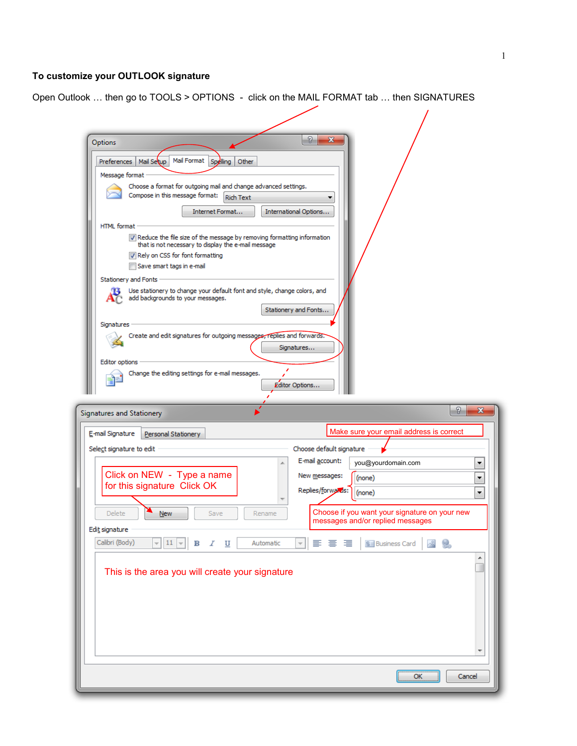## **To customize your OUTLOOK signature**

Open Outlook … then go to TOOLS > OPTIONS - click on the MAIL FORMAT tab … then SIGNATURES

| Options<br>Mail Format Spelling<br>Preferences   Mail Setup<br>Other<br>Message format<br>Choose a format for outgoing mail and change advanced settings.<br>Compose in this message format:<br><b>Rich Text</b><br>Internet Format<br><b>HTML</b> format<br>V Reduce the file size of the message by removing formatting information<br>that is not necessary to display the e-mail message<br>Rely on CSS for font formatting<br>Save smart tags in e-mail<br><b>Stationery and Fonts</b><br>Use stationery to change your default font and style, change colors, and<br>add backgrounds to your messages.<br>Signatures<br>Create and edit signatures for outgoing messages, replies and forwards.<br>Editor options<br>Change the editing settings for e-mail messages. | P<br>x<br>International Options<br>Stationery and Fonts<br>Signatures<br>Editor Options |
|-----------------------------------------------------------------------------------------------------------------------------------------------------------------------------------------------------------------------------------------------------------------------------------------------------------------------------------------------------------------------------------------------------------------------------------------------------------------------------------------------------------------------------------------------------------------------------------------------------------------------------------------------------------------------------------------------------------------------------------------------------------------------------|-----------------------------------------------------------------------------------------|
| Signatures and Stationery                                                                                                                                                                                                                                                                                                                                                                                                                                                                                                                                                                                                                                                                                                                                                   | - ?<br>x                                                                                |
| E-mail Signature<br>Personal Stationery                                                                                                                                                                                                                                                                                                                                                                                                                                                                                                                                                                                                                                                                                                                                     | Make sure your email address is correct                                                 |
| Select signature to edit                                                                                                                                                                                                                                                                                                                                                                                                                                                                                                                                                                                                                                                                                                                                                    | Choose default signature<br>E-mail account:<br>you@yourdomain.com                       |
| Click on NEW - Type a name                                                                                                                                                                                                                                                                                                                                                                                                                                                                                                                                                                                                                                                                                                                                                  | New messages:<br>(none)                                                                 |
| for this signature Click OK                                                                                                                                                                                                                                                                                                                                                                                                                                                                                                                                                                                                                                                                                                                                                 | Replies/forwards:<br>(none)                                                             |
| <b>Delete</b><br>Save<br>Rename<br>New                                                                                                                                                                                                                                                                                                                                                                                                                                                                                                                                                                                                                                                                                                                                      | Choose if you want your signature on your new<br>messages and/or replied messages       |
| Edit signature                                                                                                                                                                                                                                                                                                                                                                                                                                                                                                                                                                                                                                                                                                                                                              |                                                                                         |
| Calibri (Body)<br>$=$ 11 $=$<br>$\mathbf{B}$<br>Automatic<br>$\mathcal{I}$<br>U                                                                                                                                                                                                                                                                                                                                                                                                                                                                                                                                                                                                                                                                                             | $\overline{\psi}$<br>青春酒<br><b>8</b> Business Card &                                    |
| This is the area you will create your signature                                                                                                                                                                                                                                                                                                                                                                                                                                                                                                                                                                                                                                                                                                                             |                                                                                         |
|                                                                                                                                                                                                                                                                                                                                                                                                                                                                                                                                                                                                                                                                                                                                                                             |                                                                                         |
|                                                                                                                                                                                                                                                                                                                                                                                                                                                                                                                                                                                                                                                                                                                                                                             |                                                                                         |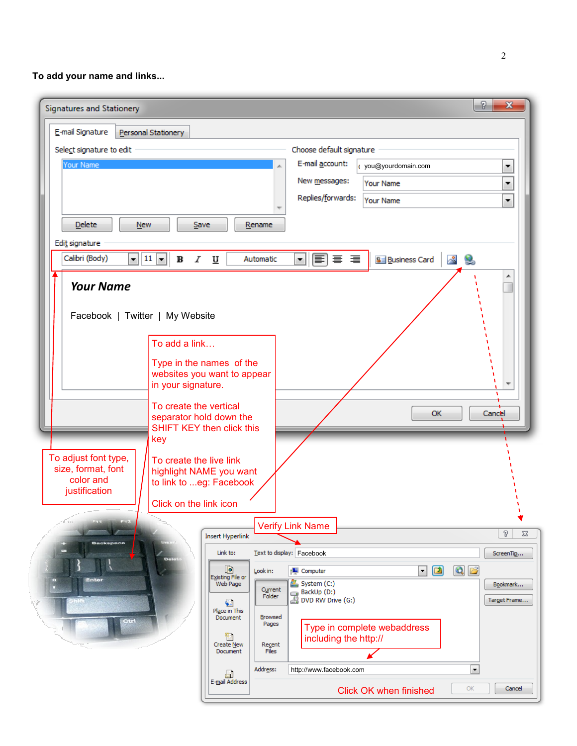**To add your name and links...**

| Signatures and Stationery                                                                                                                                                                             |                                                                                                                                                                                                                                                                                                                                                                                                                                                                                                                                    | P<br>$\mathbf x$                                                                       |
|-------------------------------------------------------------------------------------------------------------------------------------------------------------------------------------------------------|------------------------------------------------------------------------------------------------------------------------------------------------------------------------------------------------------------------------------------------------------------------------------------------------------------------------------------------------------------------------------------------------------------------------------------------------------------------------------------------------------------------------------------|----------------------------------------------------------------------------------------|
| E-mail Signature<br>Personal Stationery                                                                                                                                                               |                                                                                                                                                                                                                                                                                                                                                                                                                                                                                                                                    |                                                                                        |
| Select signature to edit<br>Your Name                                                                                                                                                                 | Choose default signature<br>E-mail account:<br>c you@yourdomain.com<br>New messages:<br>Your Name<br>Replies/forwards:<br>Your Name                                                                                                                                                                                                                                                                                                                                                                                                | ▼<br>▼<br>▼                                                                            |
| <b>Delete</b><br><b>New</b><br>Edit signature                                                                                                                                                         | Save<br>Rename                                                                                                                                                                                                                                                                                                                                                                                                                                                                                                                     |                                                                                        |
| Calibri (Body)<br>$\mathbf{v}$ 11 $\mathbf{v}$<br>в<br>$\boldsymbol{I}$<br><b>Your Name</b><br>Facebook   Twitter   My Website                                                                        | *   퇴) 로 별<br>Automatic<br><b>8</b> Business Card<br>$\underline{\mathtt{U}}$                                                                                                                                                                                                                                                                                                                                                                                                                                                      | $\sim$<br>Q,                                                                           |
| To add a link<br>in your signature.<br>To create the vertical<br>key<br>To adjust font type,<br>To create the live link<br>size, format, font<br>color and<br>justification<br>Click on the link icon | Type in the names of the<br>websites you want to appear<br>ОК<br>separator hold down the<br><b>SHIFT KEY then click this</b><br>highlight NAME you want<br>to link to eg: Facebook                                                                                                                                                                                                                                                                                                                                                 | Cancel                                                                                 |
| <b>Backspace</b><br><b>Delet</b><br>Enter<br>Dire                                                                                                                                                     | <b>Verify Link Name</b><br><b>Insert Hyperlink</b><br>Link to:<br>Text to display: Facebook<br>ø<br>$\boxed{2}$<br>$\blacktriangledown$<br>Computer<br>Look in:<br>Existing File or<br>System (C:)<br>Web Page<br>Current<br>BackUp (D:)<br>BDVD RW Drive (G:)<br>Folder<br>Place in This<br>Browsed<br>Document<br>Pages<br>Type in complete webaddress<br>m<br>including the http://<br>Create New<br>Recent<br>Document<br>Files<br>Address:<br>http://www.facebook.com<br>a<br>E-mail Address<br><b>Click OK when finished</b> | P<br>$\Sigma$<br>ScreenTip<br>$Q$ $B$<br>Bookmark<br>Target Frame<br>۰<br>OK<br>Cancel |